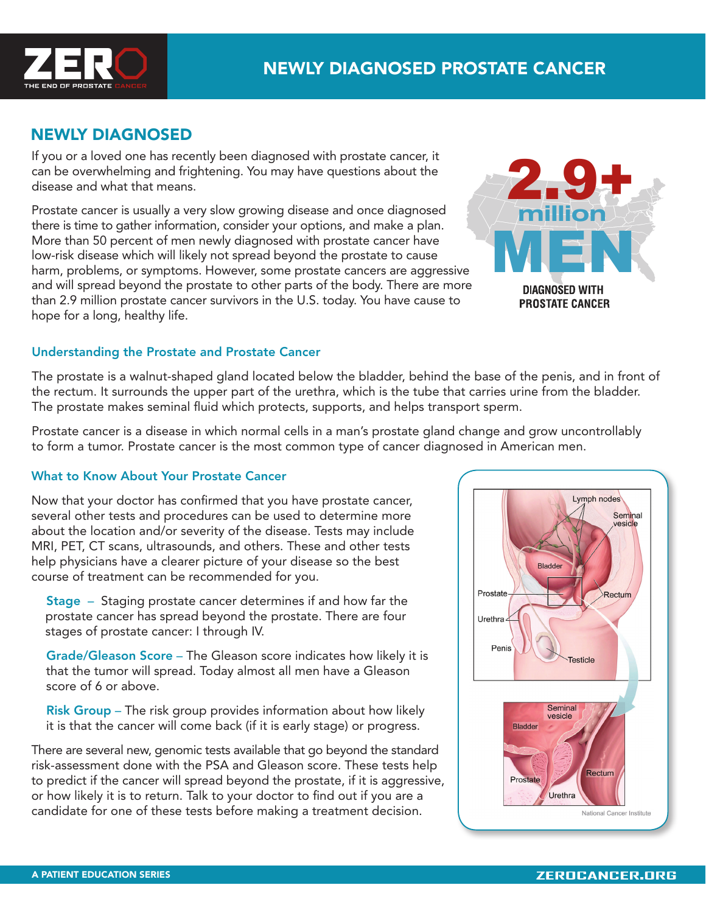

# NEWLY DIAGNOSED

If you or a loved one has recently been diagnosed with prostate cancer, it can be overwhelming and frightening. You may have questions about the disease and what that means.

Prostate cancer is usually a very slow growing disease and once diagnosed there is time to gather information, consider your options, and make a plan. More than 50 percent of men newly diagnosed with prostate cancer have low-risk disease which will likely not spread beyond the prostate to cause harm, problems, or symptoms. However, some prostate cancers are aggressive and will spread beyond the prostate to other parts of the body. There are more than 2.9 million prostate cancer survivors in the U.S. today. You have cause to hope for a long, healthy life.



## Understanding the Prostate and Prostate Cancer

The prostate is a walnut-shaped gland located below the bladder, behind the base of the penis, and in front of the rectum. It surrounds the upper part of the urethra, which is the tube that carries urine from the bladder. The prostate makes seminal fluid which protects, supports, and helps transport sperm.

Prostate cancer is a disease in which normal cells in a man's prostate gland change and grow uncontrollably to form a tumor. Prostate cancer is the most common type of cancer diagnosed in American men.

#### What to Know About Your Prostate Cancer

Now that your doctor has confirmed that you have prostate cancer, several other tests and procedures can be used to determine more about the location and/or severity of the disease. Tests may include MRI, PET, CT scans, ultrasounds, and others. These and other tests help physicians have a clearer picture of your disease so the best course of treatment can be recommended for you.

 Stage – Staging prostate cancer determines if and how far the prostate cancer has spread beyond the prostate. There are four stages of prostate cancer: I through IV.

 Grade/Gleason Score – The Gleason score indicates how likely it is that the tumor will spread. Today almost all men have a Gleason score of 6 or above.

 Risk Group – The risk group provides information about how likely it is that the cancer will come back (if it is early stage) or progress.

There are several new, genomic tests available that go beyond the standard risk-assessment done with the PSA and Gleason score. These tests help to predict if the cancer will spread beyond the prostate, if it is aggressive, or how likely it is to return. Talk to your doctor to find out if you are a candidate for one of these tests before making a treatment decision.